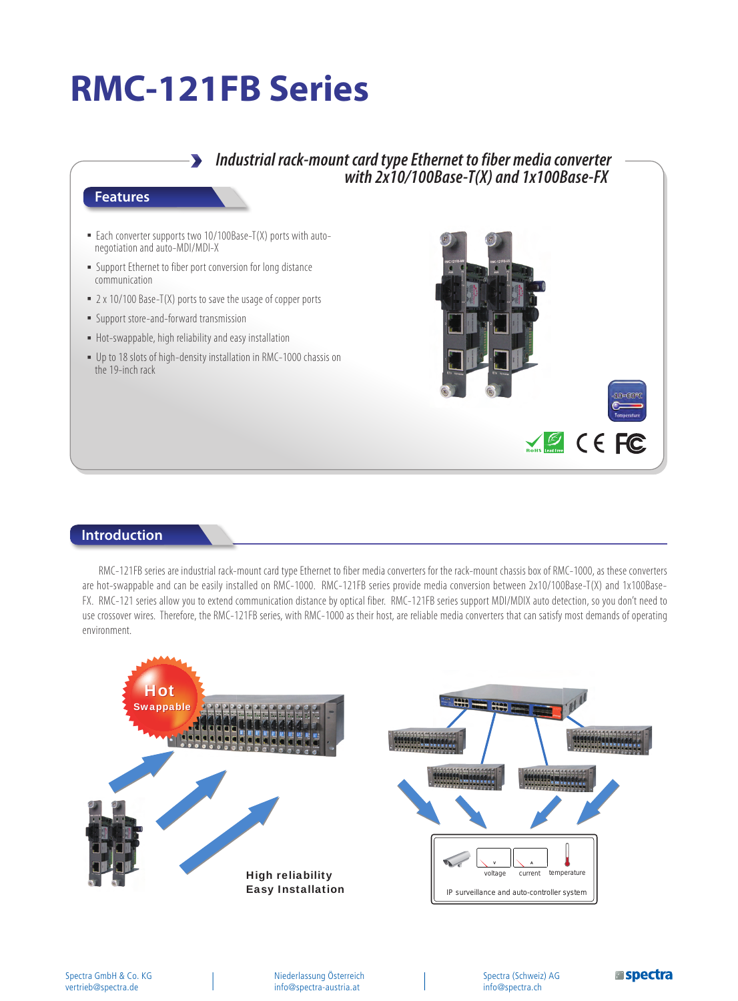## **RMC-121FB Series**



## **Introduction**

RMC-121FB series are industrial rack-mount card type Ethernet to fiber media converters for the rack-mount chassis box of RMC-1000, as these converters are hot-swappable and can be easily installed on RMC-1000. RMC-121FB series provide media conversion between 2x10/100Base-T(X) and 1x100Base-FX. RMC-121 series allow you to extend communication distance by optical fiber. RMC-121FB series support MDI/MDIX auto detection, so you don't need to use crossover wires. Therefore, the RMC-121FB series, with RMC-1000 as their host, are reliable media converters that can satisfy most demands of operating environment.



**Espectra**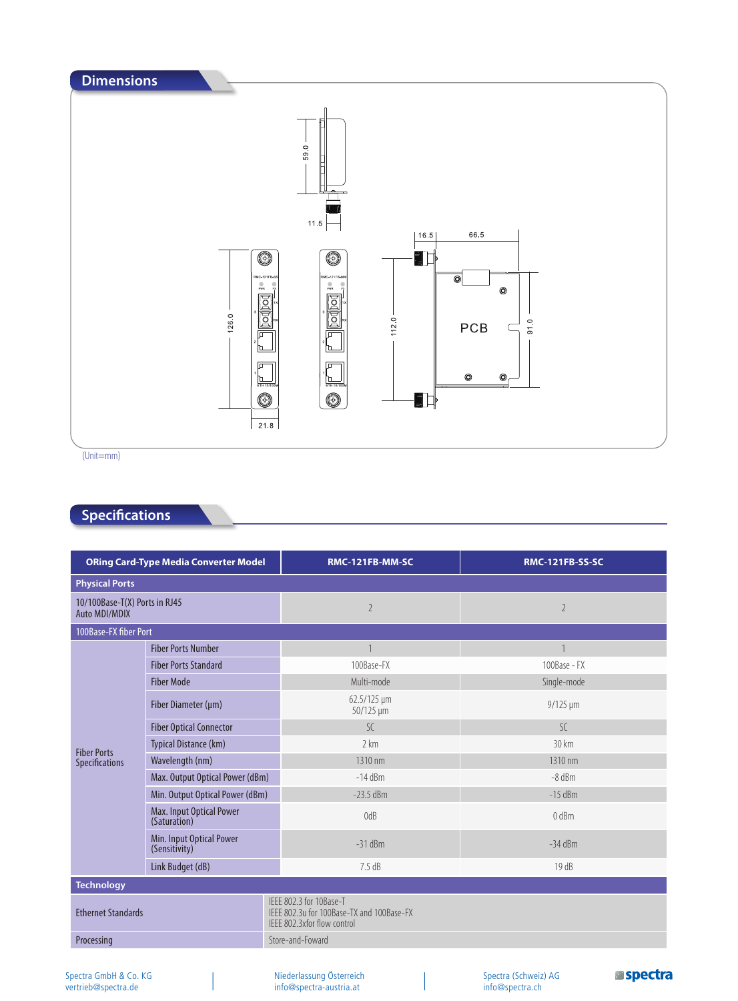

(Unit=mm)

## **Specifications**

|                                                | <b>ORing Card-Type Media Converter Model</b> | RMC-121FB-MM-SC                                                                                     | <b>RMC-121FB-SS-SC</b> |  |  |  |
|------------------------------------------------|----------------------------------------------|-----------------------------------------------------------------------------------------------------|------------------------|--|--|--|
| <b>Physical Ports</b>                          |                                              |                                                                                                     |                        |  |  |  |
| 10/100Base-T(X) Ports in RJ45<br>Auto MDI/MDIX |                                              | $\overline{\phantom{a}}$                                                                            | $\overline{2}$         |  |  |  |
| 100Base-FX fiber Port                          |                                              |                                                                                                     |                        |  |  |  |
|                                                | <b>Fiber Ports Number</b>                    | $\mathbf{1}$                                                                                        |                        |  |  |  |
|                                                | <b>Fiber Ports Standard</b>                  | 100Base-FX                                                                                          | 100Base - FX           |  |  |  |
|                                                | <b>Fiber Mode</b>                            | Multi-mode                                                                                          | Single-mode            |  |  |  |
|                                                | Fiber Diameter (µm)                          | 62.5/125 µm<br>50/125 µm                                                                            | $9/125 \mu m$          |  |  |  |
|                                                | <b>Fiber Optical Connector</b>               | $\mathcal{S}$ C                                                                                     | $\mathcal{S}$ C        |  |  |  |
|                                                | Typical Distance (km)                        | 2 km                                                                                                | 30 km                  |  |  |  |
| <b>Fiber Ports</b><br>Specifications           | Wavelength (nm)                              | 1310 nm                                                                                             | 1310 nm                |  |  |  |
|                                                | Max. Output Optical Power (dBm)              | $-14$ dBm                                                                                           | $-8$ dBm               |  |  |  |
|                                                | Min. Output Optical Power (dBm)              | $-23.5$ dBm                                                                                         | $-15$ dBm              |  |  |  |
|                                                | Max. Input Optical Power<br>(Saturation)     | 0dB                                                                                                 | 0 dBm                  |  |  |  |
|                                                | Min. Input Optical Power<br>(Sensitivity)    | $-31$ dBm                                                                                           | $-34$ dBm              |  |  |  |
|                                                | Link Budget (dB)                             | $7.5 \text{ dB}$                                                                                    | 19dB                   |  |  |  |
| <b>Technology</b>                              |                                              |                                                                                                     |                        |  |  |  |
| <b>Ethernet Standards</b>                      |                                              | IFFF 802.3 for 10Base-T<br>IFFF 802.3u for 100Base-TX and 100Base-FX<br>IFFF 802.3xfor flow control |                        |  |  |  |
| Processing                                     |                                              | Store-and-Foward                                                                                    |                        |  |  |  |
|                                                |                                              |                                                                                                     |                        |  |  |  |

Niederlassung Österreich info@spectra-austria.at

Spectra (Schweiz) AG info@spectra.ch